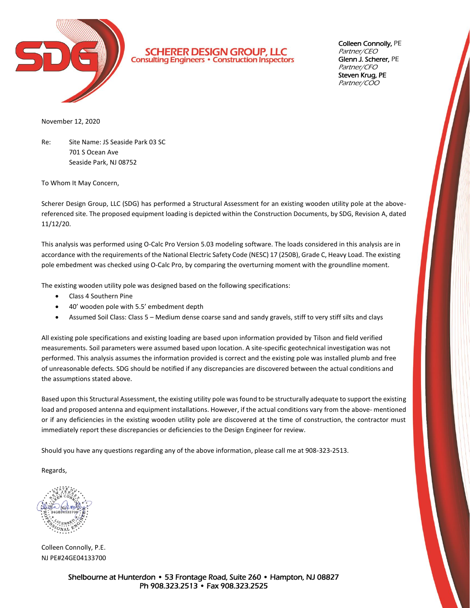

**SCHERER DESIGN GROUP, LLC**<br>Consulting Engineers · Construction Inspectors

Colleen Connolly, PE Partner/CEO Glenn J. Scherer, PE Partner/CFO Steven Krug, PE Partner/COO

November 12, 2020

Re: Site Name: JS Seaside Park 03 SC 701 S Ocean Ave Seaside Park, NJ 08752

To Whom It May Concern,

Scherer Design Group, LLC (SDG) has performed a Structural Assessment for an existing wooden utility pole at the abovereferenced site. The proposed equipment loading is depicted within the Construction Documents, by SDG, Revision A, dated 11/12/20.

This analysis was performed using O-Calc Pro Version 5.03 modeling software. The loads considered in this analysis are in accordance with the requirements of the National Electric Safety Code (NESC) 17 (250B), Grade C, Heavy Load. The existing pole embedment was checked using O-Calc Pro, by comparing the overturning moment with the groundline moment.

The existing wooden utility pole was designed based on the following specifications:

- Class 4 Southern Pine
- 40' wooden pole with 5.5' embedment depth
- Assumed Soil Class: Class 5 Medium dense coarse sand and sandy gravels, stiff to very stiff silts and clays

All existing pole specifications and existing loading are based upon information provided by Tilson and field verified measurements. Soil parameters were assumed based upon location. A site-specific geotechnical investigation was not performed. This analysis assumes the information provided is correct and the existing pole was installed plumb and free of unreasonable defects. SDG should be notified if any discrepancies are discovered between the actual conditions and the assumptions stated above.

Based upon this Structural Assessment, the existing utility pole was found to be structurally adequate to support the existing load and proposed antenna and equipment installations. However, if the actual conditions vary from the above- mentioned or if any deficiencies in the existing wooden utility pole are discovered at the time of construction, the contractor must immediately report these discrepancies or deficiencies to the Design Engineer for review.

Should you have any questions regarding any of the above information, please call me at 908-323-2513.

Regards,

NAL

Colleen Connolly, P.E. NJ PE#24GE04133700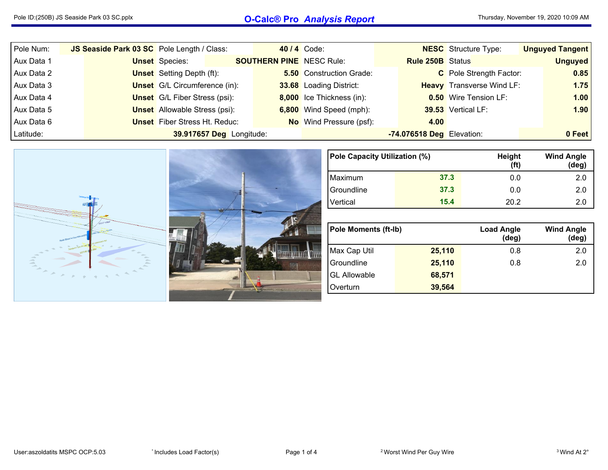## Pole ID:(250B) JS Seaside Park <sup>03</sup> SC.pplx **O-Calc® Pro** *Analysis Report*

| Pole Num:  | JS Seaside Park 03 SC Pole Length / Class: |                                      |                          |                                 | 40 / 4 Code:                    |                           | <b>NESC</b> Structure Type:      | <b>Unguyed Tangent</b> |
|------------|--------------------------------------------|--------------------------------------|--------------------------|---------------------------------|---------------------------------|---------------------------|----------------------------------|------------------------|
| Aux Data 1 |                                            | <b>Unset</b> Species:                |                          | <b>SOUTHERN PINE</b> NESC Rule: |                                 | <b>Rule 250B</b> Status   |                                  | <b>Unguyed</b>         |
| Aux Data 2 |                                            | <b>Unset</b> Setting Depth (ft):     |                          |                                 | <b>5.50</b> Construction Grade: |                           | C Pole Strength Factor:          | 0.85                   |
| Aux Data 3 |                                            | <b>Unset</b> G/L Circumference (in): |                          |                                 | 33.68 Loading District:         |                           | <b>Heavy</b> Transverse Wind LF: | 1.75                   |
| Aux Data 4 |                                            | <b>Unset</b> G/L Fiber Stress (psi): |                          |                                 | 8,000 Ice Thickness (in):       |                           | <b>0.50</b> Wire Tension LF:     | 1.00                   |
| Aux Data 5 |                                            | <b>Unset</b> Allowable Stress (psi): |                          |                                 | 6,800 Wind Speed (mph):         |                           | 39.53 Vertical LF:               | 1.90                   |
| Aux Data 6 |                                            | <b>Unset</b> Fiber Stress Ht. Reduc: |                          |                                 | <b>No</b> Wind Pressure (psf):  | 4.00                      |                                  |                        |
| Latitude:  |                                            |                                      | 39.917657 Deg Longitude: |                                 |                                 | -74.076518 Deg Elevation: |                                  | 0 Feet                 |



| Pole Capacity Utilization (%) |      | Height<br>(ft) | <b>Wind Angle</b><br>$(\text{deg})$ |  |  |
|-------------------------------|------|----------------|-------------------------------------|--|--|
| Maximum                       | 37.3 | 0.0            | 2.0                                 |  |  |
| <sup>1</sup> Groundline       | 37.3 | 0.0            | 2.0                                 |  |  |
| Vertical                      | 15.4 | 20.2           | 20                                  |  |  |

| <b>Pole Moments (ft-Ib)</b> |        | <b>Load Angle</b><br>$(\deg)$ | <b>Wind Angle</b><br>(deg) |
|-----------------------------|--------|-------------------------------|----------------------------|
| Max Cap Util                | 25,110 | 0.8                           | 2.0                        |
| Groundline                  | 25,110 | 0.8                           | 2.0                        |
| <b>GL Allowable</b>         | 68,571 |                               |                            |
| Overturn                    | 39,564 |                               |                            |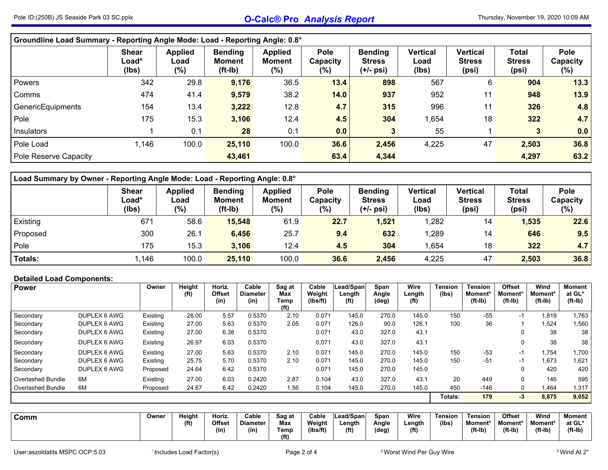| Groundline Load Summary - Reporting Angle Mode: Load - Reporting Angle: 0.8°    |                                |                               |                                              |                                 |                                    |                                              |                                  |                                           |                                        |                            |  |  |  |
|---------------------------------------------------------------------------------|--------------------------------|-------------------------------|----------------------------------------------|---------------------------------|------------------------------------|----------------------------------------------|----------------------------------|-------------------------------------------|----------------------------------------|----------------------------|--|--|--|
|                                                                                 | <b>Shear</b><br>Load*<br>(lbs) | <b>Applied</b><br>Load<br>(%) | <b>Bending</b><br><b>Moment</b><br>$(ft-lb)$ | <b>Applied</b><br>Moment<br>(%) | <b>Pole</b><br>Capacity<br>$(\% )$ | <b>Bending</b><br><b>Stress</b><br>(+/- psi) | <b>Vertical</b><br>Load<br>(Ibs) | <b>Vertical</b><br><b>Stress</b><br>(psi) | <b>Total</b><br><b>Stress</b><br>(psi) | Pole<br>Capacity<br>$(\%)$ |  |  |  |
| 342<br>898<br>567<br>29.8<br>9,176<br>36.5<br>13.4<br>904<br>6<br><b>Powers</b> |                                |                               |                                              |                                 |                                    |                                              |                                  |                                           |                                        |                            |  |  |  |
| Comms                                                                           | 474                            | 41.4                          | 9,579                                        | 38.2                            | 14.0                               | 937                                          | 952                              | 11                                        | 948                                    | 13.9                       |  |  |  |
| GenericEquipments                                                               | 154                            | 13.4                          | 3,222                                        | 12.8                            | 4.7                                | 315                                          | 996                              | 11                                        | 326                                    | 4.8                        |  |  |  |
| Pole                                                                            | 175                            | 15.3                          | 3,106                                        | 12.4                            | 4.5                                | 304                                          | 1,654                            | 18                                        | 322                                    | 4.7                        |  |  |  |
| Insulators                                                                      |                                | 0.1                           | 28                                           | 0.1                             | 0.0                                | 3                                            | 55                               |                                           | 3                                      | 0.0                        |  |  |  |
| Pole Load                                                                       | 1,146                          | 100.0                         | 25,110                                       | 100.0                           | 36.6                               | 2,456                                        | 4,225                            | 47                                        | 2,503                                  | 36.8                       |  |  |  |
| Pole Reserve Capacity                                                           |                                |                               | 43,461                                       |                                 | 63.4                               | 4,344                                        |                                  |                                           | 4,297                                  | 63.2                       |  |  |  |

| Load Summary by Owner - Reporting Angle Mode: Load - Reporting Angle: 0.8° |                                            |                                  |                                      |                                    |                                    |                                              |                           |                                           |                                        |                            |  |  |  |
|----------------------------------------------------------------------------|--------------------------------------------|----------------------------------|--------------------------------------|------------------------------------|------------------------------------|----------------------------------------------|---------------------------|-------------------------------------------|----------------------------------------|----------------------------|--|--|--|
|                                                                            | <b>Shear</b><br>$\textsf{Load}^*$<br>(lbs) | <b>Applied</b><br>Load<br>$(\%)$ | <b>Bending</b><br>Moment<br>$(ft-l)$ | <b>Applied</b><br>Moment<br>$(\%)$ | <b>Pole</b><br>Capacity<br>$(\% )$ | <b>Bending</b><br><b>Stress</b><br>(+/- psi) | Vertical<br>Load<br>(lbs) | <b>Vertical</b><br><b>Stress</b><br>(psi) | <b>Total</b><br><b>Stress</b><br>(psi) | Pole<br>Capacity<br>$(\%)$ |  |  |  |
| Existing                                                                   | 671                                        | 58.6                             | 15,548                               | 61.9                               | 22.7                               | 1,521                                        | 1,282                     | 14                                        | 1,535                                  | 22.6                       |  |  |  |
| Proposed                                                                   | 300                                        | 26.1                             | 6,456                                | 25.7                               | 9.4                                | 632                                          | ,289                      | 14                                        | 646                                    | 9.5                        |  |  |  |
| Pole<br>175<br>322<br>15.3<br>304<br>3,106<br>12.4<br>,654<br>18<br>4.5    |                                            |                                  |                                      |                                    |                                    |                                              |                           |                                           |                                        |                            |  |  |  |
| Totals:                                                                    | .146                                       | 100.0                            | 25,110                               | 100.0                              | 36.6                               | 2,456                                        | 4,225                     | 47                                        | 2,503                                  | 36.8                       |  |  |  |

## **Detailed Load Components:**

| <b>Power</b>             |              | Owner    | Height<br>(ft) | Horiz.<br>Offset | Cable<br><b>Diameter</b> | Sag at<br>Max             | Cable<br>Weight | Lead/Span<br>Length | Span<br>Angle | Wire<br>Length    | <b>Tension</b><br>(lbs) | <b>Tension</b><br>Moment* | <b>Offset</b><br><b>Moment</b> * | Wind<br>Moment* | <b>Moment</b><br>at GL* |
|--------------------------|--------------|----------|----------------|------------------|--------------------------|---------------------------|-----------------|---------------------|---------------|-------------------|-------------------------|---------------------------|----------------------------------|-----------------|-------------------------|
|                          |              |          |                | (in)             | (in)                     | Temp<br>(f <sup>t</sup> ) | (Ibs/ft)        | (f <sup>t</sup> )   | (deg)         | (f <sup>t</sup> ) |                         | $(ft-lb)$                 | $(ft-lb)$                        | $(ft-lb)$       | $(ft-lb)$               |
| Secondary                | DUPLEX 6 AWG | Existing | 28.00          | 5.57             | 0.5370                   | 2.10                      | 0.071           | 145.0               | 270.0         | 145.0             | 150                     | $-55$                     | -1                               | 1,819           | 1,763                   |
| Secondary                | DUPLEX 6 AWG | Existing | 27.00          | 5.63             | 0.5370                   | 2.05                      | 0.071           | 126.0               | 90.0          | 126.1             | 100                     | 36                        |                                  | 1,524           | 560. ا                  |
| Secondary                | DUPLEX 6 AWG | Existing | 27.00          | 6.38             | 0.5370                   |                           | 0.071           | 43.0                | 327.0         | 43.1              |                         |                           | 0                                | 38              | 38                      |
| Secondary                | DUPLEX 6 AWG | Existing | 26.97          | 6.03             | 0.5370                   |                           | 0.071           | 43.0                | 327.0         | 43.1              |                         |                           | 0                                | 38              | 38                      |
| Secondary                | DUPLEX 6 AWG | Existing | 27.00          | 5.63             | 0.5370                   | 2.10                      | 0.071           | 145.0               | 270.0         | 145.0             | 150                     | $-53$                     | -1                               | 1,754           | 1,700                   |
| Secondary                | DUPLEX 6 AWG | Existing | 25.75          | 5.70             | 0.5370                   | 2.10                      | 0.071           | 145.0               | 270.0         | 145.0             | 150                     | $-51$                     | -1                               | 1,673           | 1,621                   |
| Secondary                | DUPLEX 6 AWG | Proposed | 24.64          | 6.42             | 0.5370                   |                           | 0.071           | 145.0               | 270.0         | 145.0             |                         |                           | 0                                | 420             | 420                     |
| <b>Overlashed Bundle</b> | 6M           | Existing | 27.00          | 6.03             | 0.2420                   | 2.87                      | 0.104           | 43.0                | 327.0         | 43.1              | 20                      | 449                       | 0                                | 146             | 595                     |
| Overlashed Bundle        | 6M           | Proposed | 24.67          | 6.42             | 0.2420                   | 1.56                      | 0.104           | 145.0               | 270.0         | 145.0             | 450                     | $-146$                    | 0                                | 1,464           | 1,317                   |
|                          |              |          |                |                  |                          |                           |                 |                     |               |                   | Totals:                 | 179                       | $-3$                             | 8,875           | 9,052                   |

| Owner<br>Comm | <b>Height</b><br>(ft | Horiz.<br>Offset<br>(in) | Cable<br><b>Diameter</b><br>(in) | Sag at<br>Max<br>Геmр<br>(f <sup>t</sup> ) | วิable<br>Weight<br>(Ibs/ft) | <b>'Lead/Span</b><br>Lenath<br>(f <sup>t</sup> ) | Span<br>Angle<br>'deg) | Wire<br>Length<br>(f <sup>t</sup> ) | Tension<br>(lbs | Tension<br><b>Moment</b><br>$(ft-lb)$ | Offset<br>Moment*<br>$(ft-lb)$ | Wind<br>Moment*<br>$(ft-lb)$ | Moment<br>at GL<br>$(ft-lb)$ |
|---------------|----------------------|--------------------------|----------------------------------|--------------------------------------------|------------------------------|--------------------------------------------------|------------------------|-------------------------------------|-----------------|---------------------------------------|--------------------------------|------------------------------|------------------------------|
|---------------|----------------------|--------------------------|----------------------------------|--------------------------------------------|------------------------------|--------------------------------------------------|------------------------|-------------------------------------|-----------------|---------------------------------------|--------------------------------|------------------------------|------------------------------|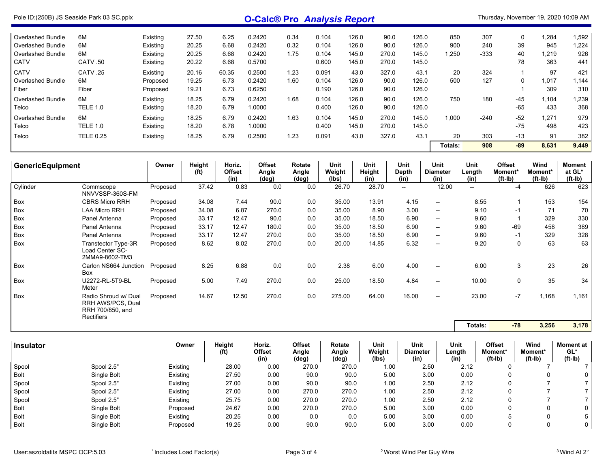| Pole ID: (250B) JS Seaside Park 03 SC pplx |                  | <b>O-Calc® Pro Analysis Report</b> |       |       |        |      |       | Thursday, November 19, 2020 10:09 AM |       |       |         |        |       |       |       |
|--------------------------------------------|------------------|------------------------------------|-------|-------|--------|------|-------|--------------------------------------|-------|-------|---------|--------|-------|-------|-------|
| Overlashed Bundle                          | 6M               | Existing                           | 27.50 | 6.25  | 0.2420 | 0.34 | 0.104 | 126.0                                | 90.0  | 126.0 | 850     | 307    | 0     | 1,284 | 1,592 |
| Overlashed Bundle                          | 6M               | Existing                           | 20.25 | 6.68  | 0.2420 | 0.32 | 0.104 | 126.0                                | 90.0  | 126.0 | 900     | 240    | 39    | 945   | 1,224 |
| Overlashed Bundle                          | 6M               | Existing                           | 20.25 | 6.68  | 0.2420 | 1.75 | 0.104 | 145.0                                | 270.0 | 145.0 | 1.250   | $-333$ | 40    | 1.219 | 926   |
| <b>CATV</b>                                | CATV.50          | Existing                           | 20.22 | 6.68  | 0.5700 |      | 0.600 | 145.0                                | 270.0 | 145.0 |         |        | 78    | 363   | 441   |
| <b>CATV</b>                                | CATV .25         | Existing                           | 20.16 | 60.35 | 0.2500 | 1.23 | 0.091 | 43.0                                 | 327.0 | 43.1  | 20      | 324    |       | 97    | 421   |
| Overlashed Bundle                          | 6M               | Proposed                           | 19.25 | 6.73  | 0.2420 | 1.60 | 0.104 | 126.0                                | 90.0  | 126.0 | 500     | 127    | 0     | 1,017 | 1,144 |
| Fiber                                      | Fiber            | Proposed                           | 19.21 | 6.73  | 0.6250 |      | 0.190 | 126.0                                | 90.0  | 126.0 |         |        |       | 309   | 310   |
| Overlashed Bundle                          | 6M               | Existing                           | 18.25 | 6.79  | 0.2420 | 1.68 | 0.104 | 126.0                                | 90.0  | 126.0 | 750     | 180    | $-45$ | 1,104 | 1,239 |
| Telco                                      | <b>TELE 1.0</b>  | Existing                           | 18.20 | 6.79  | 1.0000 |      | 0.400 | 126.0                                | 90.0  | 126.0 |         |        | $-65$ | 433   | 368   |
| Overlashed Bundle                          | 6M               | Existing                           | 18.25 | 6.79  | 0.2420 | 1.63 | 0.104 | 145.0                                | 270.0 | 145.0 | 1,000   | $-240$ | $-52$ | 1,271 | 979   |
| Telco                                      | <b>TELE 1.0</b>  | Existing                           | 18.20 | 6.78  | 1.0000 |      | 0.400 | 145.0                                | 270.0 | 145.0 |         |        | $-75$ | 498   | 423   |
| Telco                                      | <b>TELE 0.25</b> | Existing                           | 18.25 | 6.79  | 0.2500 | 1.23 | 0.091 | 43.0                                 | 327.0 | 43.1  | 20      | 303    | $-13$ | 91    | 382   |
|                                            |                  |                                    |       |       |        |      |       |                                      |       |       | Totals: | 908    | $-89$ | 8,631 | 9,449 |

| <b>GenericEquipment</b> |                                                                             | Owner    | <b>Height</b><br>(f <sup>t</sup> ) | Horiz.<br><b>Offset</b><br>(in) | <b>Offset</b><br>Angle<br>(deg) | Rotate<br>Angle<br>(deg) | Unit<br>Weight<br>(lbs) | Unit<br>Height<br>(in) | <b>Unit</b><br>Depth<br>(in) | <b>Unit</b><br><b>Diameter</b><br>(in) | Unit<br>Length<br>(in)   | <b>Offset</b><br>Moment*<br>$(ft-lb)$ | Wind<br>Moment*<br>(ft-Ib) | <b>Moment</b><br>at GL*<br>(ft-Ib) |
|-------------------------|-----------------------------------------------------------------------------|----------|------------------------------------|---------------------------------|---------------------------------|--------------------------|-------------------------|------------------------|------------------------------|----------------------------------------|--------------------------|---------------------------------------|----------------------------|------------------------------------|
| Cylinder                | Commscope<br>NNVVSSP-360S-FM                                                | Proposed | 37.42                              | 0.83                            | 0.0                             | 0.0                      | 26.70                   | 28.70                  | $\hspace{0.05cm}$            | 12.00                                  | $\overline{\phantom{a}}$ | $-4$                                  | 626                        | 623                                |
| Box                     | <b>CBRS Micro RRH</b>                                                       | Proposed | 34.08                              | 7.44                            | 90.0                            | 0.0                      | 35.00                   | 13.91                  | 4.15                         | --                                     | 8.55                     |                                       | 153                        | 154                                |
| Box                     | <b>LAA Micro RRH</b>                                                        | Proposed | 34.08                              | 6.87                            | 270.0                           | 0.0                      | 35.00                   | 8.90                   | 3.00                         | --                                     | 9.10                     | $-1$                                  | 71                         | 70                                 |
| Box                     | Panel Antenna                                                               | Proposed | 33.17                              | 12.47                           | 90.0                            | 0.0                      | 35.00                   | 18.50                  | 6.90                         | --                                     | 9.60                     |                                       | 329                        | 330                                |
| Box                     | Panel Antenna                                                               | Proposed | 33.17                              | 12.47                           | 180.0                           | 0.0                      | 35.00                   | 18.50                  | 6.90                         | --                                     | 9.60                     | -69                                   | 458                        | 389                                |
| Box                     | Panel Antenna                                                               | Proposed | 33.17                              | 12.47                           | 270.0                           | 0.0                      | 35.00                   | 18.50                  | 6.90                         | --                                     | 9.60                     | $-1$                                  | 329                        | 328                                |
| Box                     | Transtector Type-3R<br>Load Center SC-<br>2MMA9-8602-TM3                    | Proposed | 8.62                               | 8.02                            | 270.0                           | 0.0                      | 20.00                   | 14.85                  | 6.32                         | --                                     | 9.20                     | 0                                     | 63                         | 63                                 |
| Box                     | Carlon NS664 Junction<br>Box                                                | Proposed | 8.25                               | 6.88                            | 0.0                             | 0.0                      | 2.38                    | 6.00                   | 4.00                         | $\overline{\phantom{a}}$               | 6.00                     | 3                                     | 23                         | 26                                 |
| <b>Box</b>              | U2272-RL-5T9-BL<br>Meter                                                    | Proposed | 5.00                               | 7.49                            | 270.0                           | 0.0                      | 25.00                   | 18.50                  | 4.84                         | --                                     | 10.00                    | 0                                     | 35                         | 34                                 |
| Box                     | Radio Shroud w/ Dual<br>RRH AWS/PCS, Dual<br>RRH 700/850, and<br>Rectifiers | Proposed | 14.67                              | 12.50                           | 270.0                           | 0.0                      | 275.00                  | 64.00                  | 16.00                        | --                                     | 23.00                    | $-7$                                  | 1,168                      | 1,161                              |
|                         |                                                                             |          |                                    |                                 |                                 |                          |                         |                        |                              |                                        | Totals:                  | $-78$                                 | 3,256                      | 3,178                              |

| <b>Insulator</b> |             | Owner    | Height<br>(f <sup>t</sup> ) | Horiz.<br>Offset | Offset<br>Angle | Rotate<br>Angle | Unit<br>Weight | Unit<br><b>Diameter</b> | Unit<br>Length | <b>Offset</b><br>Moment* | Wind<br>Moment* | <b>Moment</b> at<br>GL* |
|------------------|-------------|----------|-----------------------------|------------------|-----------------|-----------------|----------------|-------------------------|----------------|--------------------------|-----------------|-------------------------|
|                  |             |          |                             | (in)             | (deg)           | (deg)           | (Ibs)          | (in)                    | (in)           | $(ft-lb)$                | $(ft-lb)$       | $(ft-lb)$               |
| Spool            | Spool 2.5"  | Existing | 28.00                       | 0.00             | 270.0           | 270.0           | 1.00           | 2.50                    | 2.12           |                          |                 |                         |
| <b>Bolt</b>      | Single Bolt | Existing | 27.50                       | 0.00             | 90.0            | 90.0            | 5.00           | 3.00                    | 0.00           |                          |                 | 0                       |
| Spool            | Spool 2.5"  | Existing | 27.00                       | 0.00             | 90.0            | 90.0            | 1.00           | 2.50                    | 2.12           |                          |                 |                         |
| Spool            | Spool 2.5"  | Existing | 27.00                       | 0.00             | 270.0           | 270.0           | 1.00           | 2.50                    | 2.12           |                          |                 |                         |
| Spool            | Spool 2.5"  | Existing | 25.75                       | 0.00             | 270.0           | 270.0           | 1.00           | 2.50                    | 2.12           |                          |                 |                         |
| <b>Bolt</b>      | Single Bolt | Proposed | 24.67                       | 0.00             | 270.0           | 270.0           | 5.00           | 3.00                    | 0.00           |                          |                 | 0                       |
| Bolt             | Single Bolt | Existing | 20.25                       | 0.00             | 0.0             | 0.0             | 5.00           | 3.00                    | 0.00           |                          |                 |                         |
| <b>Bolt</b>      | Single Bolt | Proposed | 19.25                       | 0.00             | 90.0            | 90.0            | 5.00           | 3.00                    | 0.00           |                          |                 | 0                       |